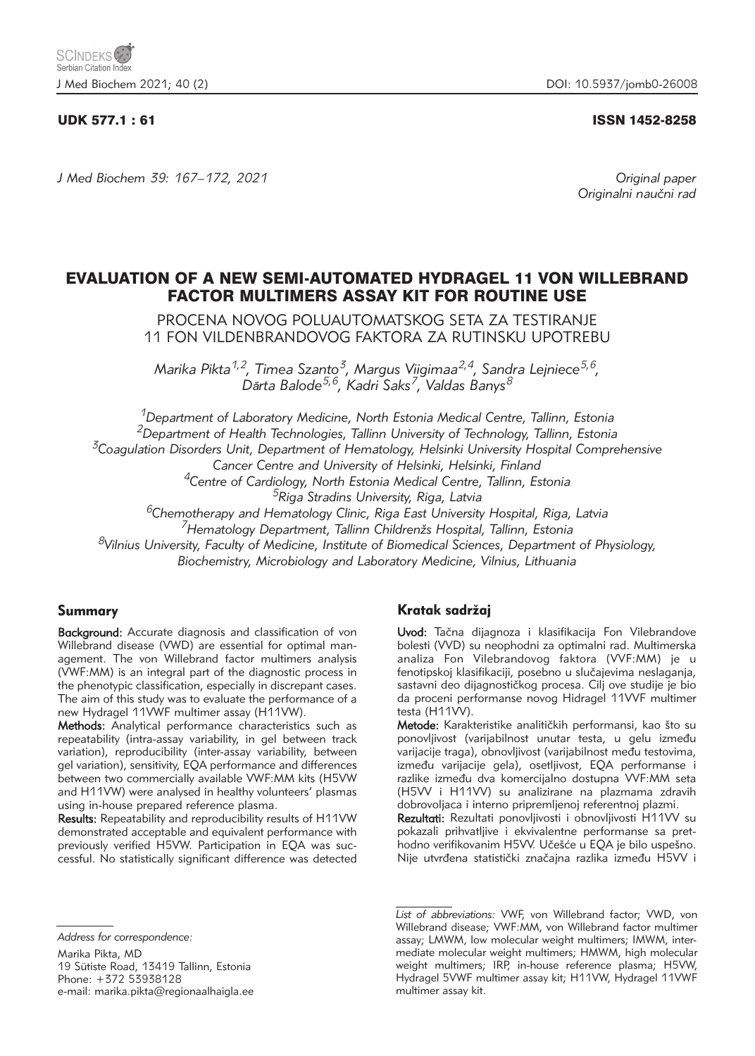# UDK 577.1 : 61 ISSN 1452-8258

*J Med Biochem 39: 167–172, 2021 Original paper*

Originalni naučni rad

# EVALUATION OF A NEW SEMI-AUTOMATED HYDRAGEL 11 VON WILLEBRAND FACTOR MULTIMERS ASSAY KIT FOR ROUTINE USE

PROCENA NOVOG POLUAUTOMATSKOG SETA ZA TESTIRANJE 11 FON VILDENBRANDOVOG FAKTORA ZA RUTINSKU UPOTREBU

*Marika Pikta1,2, Timea Szanto3, Margus Viigimaa2,4, Sandra Lejniece5,6, Dārta Balode5,6, Kadri Saks7, Valdas Banys8*

*1Department of Laboratory Medicine, North Estonia Medical Centre, Tallinn, Estonia 2Department of Health Technologies, Tallinn University of Technology, Tallinn, Estonia 3Coagulation Disorders Unit, Department of Hematology, Helsinki University Hospital Comprehensive Cancer Centre and University of Helsinki, Helsinki, Finland 4Centre of Cardiology, North Estonia Medical Centre, Tallinn, Estonia 5Riga Stradins University, Riga, Latvia*

*6Chemotherapy and Hematology Clinic, Riga East University Hospital, Riga, Latvia*

*7Hematology Department, Tallinn Children`s Hospital, Tallinn, Estonia*

*8Vilnius University, Faculty of Medicine, Institute of Biomedical Sciences, Department of Physiology, Biochemistry, Microbiology and Laboratory Medicine, Vilnius, Lithuania*

# Summary

Background: Accurate diagnosis and classification of von Willebrand disease (VWD) are essential for optimal management. The von Willebrand factor multimers analysis (VWF:MM) is an integral part of the diagnostic process in the phenotypic classification, especially in discrepant cases. The aim of this study was to evaluate the performance of a new Hydragel 11VWF multimer assay (H11VW).

Methods: Analytical performance characteristics such as repeatability (intra-assay variability, in gel between track variation), reproducibility (inter-assay variability, between gel variation), sensitivity, EQA performance and differences between two commercially available VWF:MM kits (H5VW and H11VW) were analysed in healthy volunteers' plasmas using in-house prepared reference plasma.

Results: Repeatability and reproducibility results of H11VW demonstrated acceptable and equivalent performance with previously verified H5VW. Participation in EQA was successful. No statistically significant difference was detected

*Address for correspondence:*

Marika Pikta, MD 19 Sütiste Road, 13419 Tallinn, Estonia Phone: +372 53938128 e-mail: marika.pikta@regionaalhaigla.ee

# Kratak sadržaj

Uvod: Tačna dijagnoza i klasifikacija Fon Vilebrandove bolesti (VVD) su neophodni za optimalni rad. Multimerska analiza Fon Vilebrandovog faktora (VVF:MM) je u fenotipskoj klasifikaciji, posebno u slučajevima neslaganja, sastavni deo dijagnostičkog procesa. Cilj ove studije je bio da proceni performanse novog Hidragel 11VVF multimer testa (H11VV).

Metode: Karakteristike analitičkih performansi, kao što su ponovljivost (varijabilnost unutar testa, u gelu između varijacije traga), obnovljivost (varijabilnost među testovima, između varijacije gela), osetljivost, EQA performanse i razlike između dva komercijalno dostupna VVF:MM seta (H5VV i H11VV) su analizirane na plazmama zdravih dobrovoljaca i interno pripremljenoj referentnoj plazmi.

Rezultati: Rezultati ponovljivosti i obnovljivosti H11VV su pokazali prihvatljive i ekvivalentne performanse sa prethodno verifikovanim H5VV. Učešće u EQA je bilo uspešno. Nije utvrđena statistički značajna razlika između H5VV i

*List of abbreviations:* VWF, von Willebrand factor; VWD, von Willebrand disease; VWF:MM, von Willebrand factor multimer assay; LMWM, low molecular weight multimers; IMWM, intermediate molecular weight multimers; HMWM, high molecular weight multimers; IRP, in-house reference plasma; H5VW, Hydragel 5VWF multimer assay kit; H11VW, Hydragel 11VWF multimer assay kit.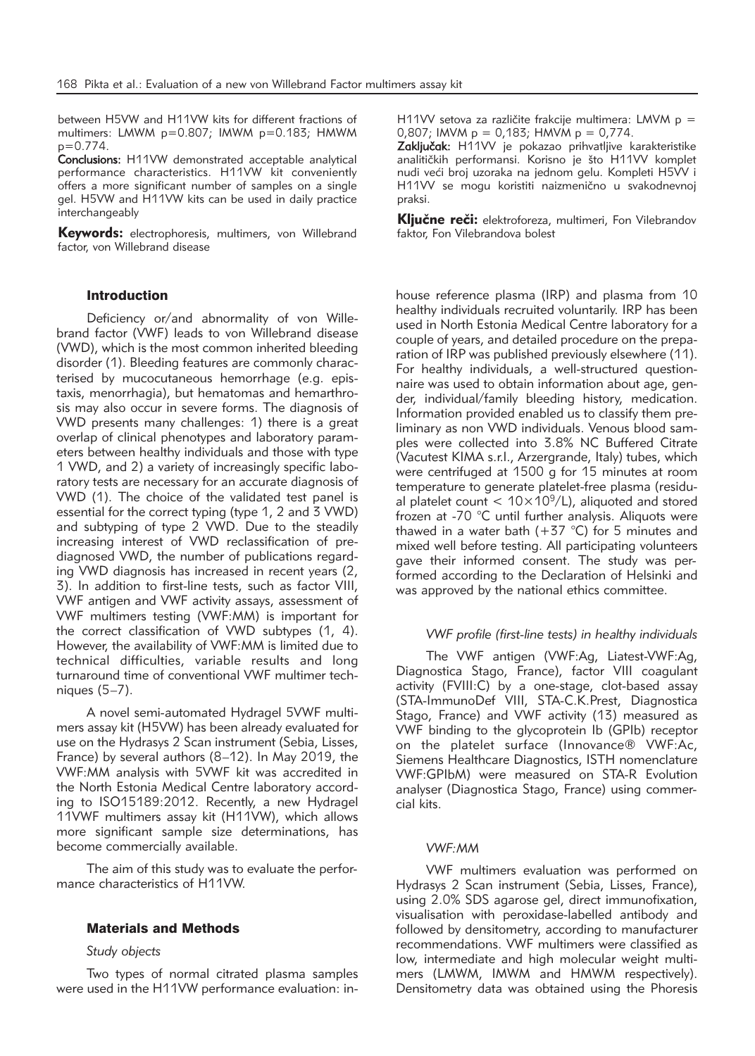between H5VW and H11VW kits for different fractions of multimers: LMWM p=0.807; IMWM p=0.183; HMWM  $p=0.774$ .

Conclusions: H11VW demonstrated acceptable analytical performance characteristics. H11VW kit conveniently offers a more significant number of samples on a single gel. H5VW and H11VW kits can be used in daily practice interchangeably

Keywords: electrophoresis, multimers, von Willebrand factor, von Willebrand disease

### Introduction

Deficiency or/and abnormality of von Willebrand factor (VWF) leads to von Willebrand disease (VWD), which is the most common inherited bleeding disorder (1). Bleeding features are commonly characterised by mucocutaneous hemorrhage (e.g. epistaxis, menorrhagia), but hematomas and hemarthrosis may also occur in severe forms. The diagnosis of VWD presents many challenges: 1) there is a great overlap of clinical phenotypes and laboratory parameters between healthy individuals and those with type 1 VWD, and 2) a variety of increasingly specific laboratory tests are necessary for an accurate diagnosis of VWD (1). The choice of the validated test panel is essential for the correct typing (type 1, 2 and 3 VWD) and subtyping of type 2 VWD. Due to the steadily increasing interest of VWD reclassification of prediagnosed VWD, the number of publications regarding VWD diagnosis has increased in recent years (2, 3). In addition to first-line tests, such as factor VIII, VWF antigen and VWF activity assays, assessment of VWF multimers testing (VWF:MM) is important for the correct classification of VWD subtypes (1, 4). However, the availability of VWF:MM is limited due to technical difficulties, variable results and long turnaround time of conventional VWF multimer techniques (5–7).

A novel semi*-*automated Hydragel 5VWF multimers assay kit (H5VW) has been already evaluated for use on the Hydrasys 2 Scan instrument (Sebia, Lisses, France) by several authors (8–12). In May 2019, the VWF:MM analysis with 5VWF kit was accredited in the North Estonia Medical Centre laboratory according to ISO15189:2012. Recently, a new Hydragel 11VWF multimers assay kit (H11VW), which allows more significant sample size determinations, has become commercially available.

The aim of this study was to evaluate the performance characteristics of H11VW.

# Materials and Methods

#### *Study objects*

Two types of normal citrated plasma samples were used in the H11VW performance evaluation: inH11VV setova za različite frakcije multimera: LMVM  $p =$ 0,807; IMVM  $p = 0,183$ ; HMVM  $p = 0,774$ .

Zaključak: H11VV je pokazao prihvatljive karakteristike analitičkih performansi. Korisno je što H11VV komplet nudi veći broj uzoraka na jednom gelu. Kompleti H5VV i H11VV se mogu koristiti naizmenično u svakodnevnoj praksi.

Ključne reči: elektroforeza, multimeri, Fon Vilebrandov faktor, Fon Vilebrandova bolest

house reference plasma (IRP) and plasma from 10 healthy individuals recruited voluntarily. IRP has been used in North Estonia Medical Centre laboratory for a couple of years, and detailed procedure on the preparation of IRP was published previously elsewhere (11). For healthy individuals, a well-structured questionnaire was used to obtain information about age, gender, individual/family bleeding history, medication. Information provided enabled us to classify them preliminary as non VWD individuals. Venous blood samples were collected into 3.8% NC Buffered Citrate (Vacutest KIMA s.r.l., Arzergrande, Italy) tubes, which were centrifuged at 1500 g for 15 minutes at room temperature to generate platelet-free plasma (residual platelet count <  $10 \times 10^{9}$ /L), aliquoted and stored frozen at -70 °C until further analysis. Aliquots were thawed in a water bath  $(+37 \degree C)$  for 5 minutes and mixed well before testing. All participating volunteers gave their informed consent. The study was performed according to the Declaration of Helsinki and was approved by the national ethics committee.

## *VWF profile (first-line tests) in healthy individuals*

The VWF antigen (VWF:Ag, Liatest-VWF:Ag, Diagnostica Stago, France), factor VIII coagulant activity (FVIII:C) by a one-stage, clot-based assay (STA-ImmunoDef VIII, STA-C.K.Prest, Diagnostica Stago, France) and VWF activity (13) measured as VWF binding to the glycoprotein Ib (GPIb) receptor on the platelet surface (Innovance® VWF:Ac, Siemens Healthcare Diagnostics, ISTH nomenclature VWF:GPIbM) were measured on STA-R Evolution analyser (Diagnostica Stago, France) using commercial kits.

#### *VWF:MM*

VWF multimers evaluation was performed on Hydrasys 2 Scan instrument (Sebia, Lisses, France), using 2.0% SDS agarose gel, direct immunofixation, visualisation with peroxidase-labelled antibody and followed by densitometry, according to manufacturer recommendations. VWF multimers were classified as low, intermediate and high molecular weight multimers (LMWM, IMWM and HMWM respectively). Densitometry data was obtained using the Phoresis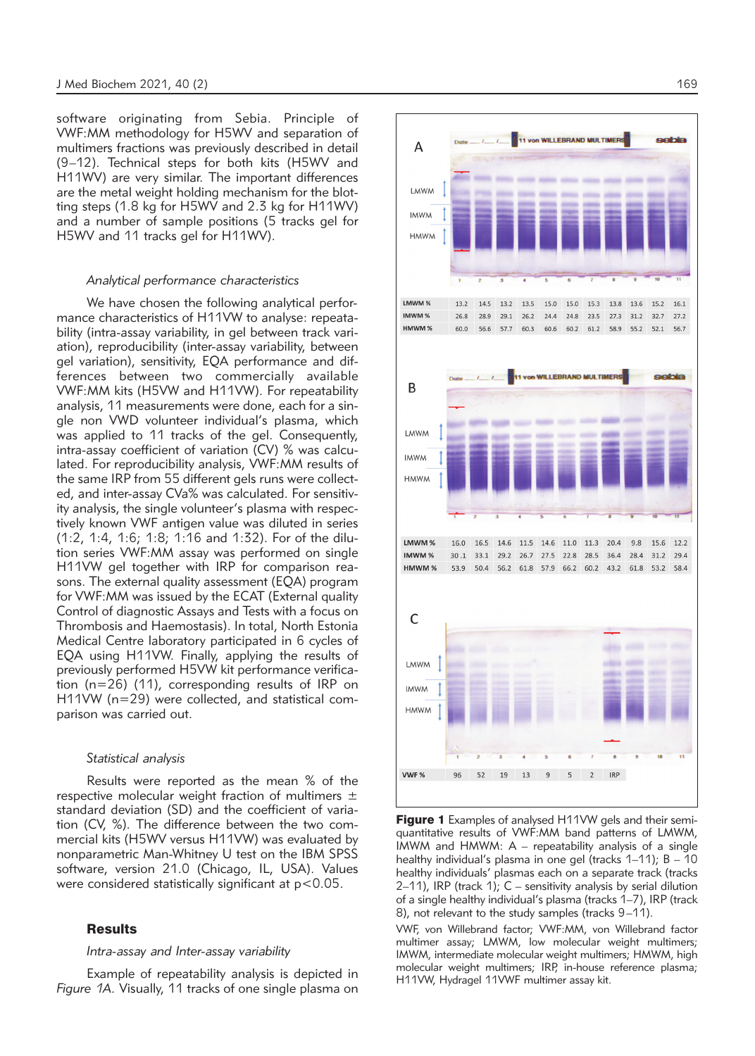software originating from Sebia. Principle of VWF:MM methodology for H5WV and separation of multimers fractions was previously described in detail (9–12). Technical steps for both kits (H5WV and H11WV) are very similar. The important differences are the metal weight holding mechanism for the blotting steps (1.8 kg for H5WV and 2.3 kg for H11WV) and a number of sample positions (5 tracks gel for H5WV and 11 tracks gel for H11WV).

#### *Analytical performance characteristics*

We have chosen the following analytical performance characteristics of H11VW to analyse: repeatability (intra-assay variability, in gel between track variation), reproducibility (inter-assay variability, between gel variation), sensitivity, EQA performance and differences between two commercially available VWF:MM kits (H5VW and H11VW). For repeatability analysis, 11 measurements were done, each for a single non VWD volunteer individual's plasma, which was applied to 11 tracks of the gel. Consequently, intra-assay coefficient of variation (CV) % was calculated. For reproducibility analysis, VWF:MM results of the same IRP from 55 different gels runs were collected, and inter-assay CVa% was calculated. For sensitivity analysis, the single volunteer's plasma with respectively known VWF antigen value was diluted in series (1:2, 1:4, 1:6; 1:8; 1:16 and 1:32). For of the dilution series VWF:MM assay was performed on single H11VW gel together with IRP for comparison reasons. The external quality assessment (EQA) program for VWF:MM was issued by the ECAT (External quality Control of diagnostic Assays and Tests with a focus on Thrombosis and Haemostasis). In total, North Estonia Medical Centre laboratory participated in 6 cycles of EQA using H11VW. Finally, applying the results of previously performed H5VW kit performance verification (n=26) (11), corresponding results of IRP on H11VW (n=29) were collected, and statistical comparison was carried out.

#### *Statistical analysis*

Results were reported as the mean % of the respective molecular weight fraction of multimers  $\pm$ standard deviation (SD) and the coefficient of variation (CV, %). The difference between the two commercial kits (H5WV versus H11VW) was evaluated by nonparametric Man-Whitney U test on the IBM SPSS software, version 21.0 (Chicago, IL, USA). Values were considered statistically significant at p<0.05.

# **Results**

# *Intra-assay and Inter-assay variability*

Example of repeatability analysis is depicted in *Figure 1A.* Visually, 11 tracks of one single plasma on



**Figure 1** Examples of analysed H11VW gels and their semiquantitative results of VWF:MM band patterns of LMWM, IMWM and HMWM: A – repeatability analysis of a single healthy individual's plasma in one gel (tracks 1–11); B – 10 healthy individuals' plasmas each on a separate track (tracks 2–11), IRP (track 1); C – sensitivity analysis by serial dilution of a single healthy individual's plasma (tracks 1–7), IRP (track 8), not relevant to the study samples (tracks 9-11).

VWF, von Willebrand factor; VWF:MM, von Willebrand factor multimer assay; LMWM, low molecular weight multimers; IMWM, intermediate molecular weight multimers; HMWM, high molecular weight multimers; IRP, in-house reference plasma; H11VW, Hydragel 11VWF multimer assay kit.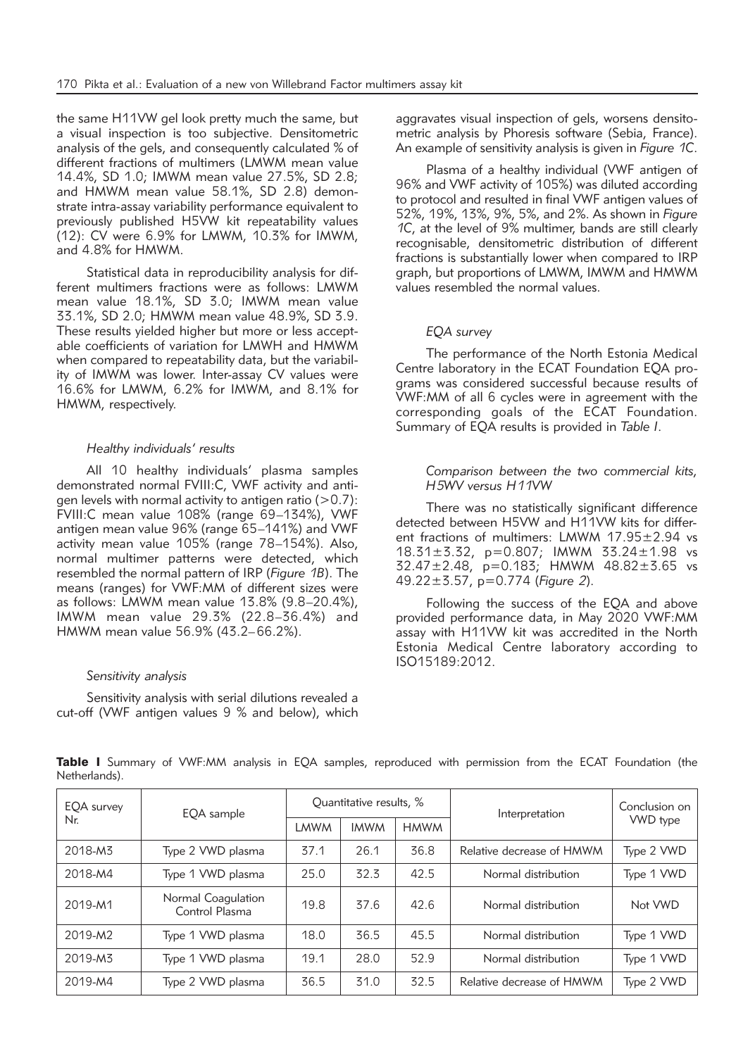the same H11VW gel look pretty much the same, but a visual inspection is too subjective. Densitometric analysis of the gels, and consequently calculated % of different fractions of multimers (LMWM mean value 14.4%, SD 1.0; IMWM mean value 27.5%, SD 2.8; and HMWM mean value 58.1%, SD 2.8) demonstrate intra-assay variability performance equivalent to previously published H5VW kit repeatability values (12): CV were 6.9% for LMWM, 10.3% for IMWM, and 4.8% for HMWM.

Statistical data in reproducibility analysis for different multimers fractions were as follows: LMWM mean value 18.1%, SD 3.0; IMWM mean value 33.1%, SD 2.0; HMWM mean value 48.9%, SD 3.9. These results yielded higher but more or less acceptable coefficients of variation for LMWH and HMWM when compared to repeatability data, but the variability of IMWM was lower. Inter-assay CV values were 16.6% for LMWM, 6.2% for IMWM, and 8.1% for HMWM, respectively.

# *Healthy individuals' results*

All 10 healthy individuals' plasma samples demonstrated normal FVIII:C, VWF activity and antigen levels with normal activity to antigen ratio  $(>0.7)$ : FVIII:C mean value 108% (range 69–134%), VWF antigen mean value 96% (range 65–141%) and VWF activity mean value 105% (range 78–154%). Also, normal multimer patterns were detected, which resembled the normal pattern of IRP (*Figure 1B*). The means (ranges) for VWF:MM of different sizes were as follows: LMWM mean value 13.8% (9.8–20.4%), IMWM mean value 29.3% (22.8–36.4%) and HMWM mean value 56.9% (43.2–66.2%).

# *Sensitivity analysis*

Sensitivity analysis with serial dilutions revealed a cut-off (VWF antigen values 9 % and below), which aggravates visual inspection of gels, worsens densitometric analysis by Phoresis software (Sebia, France). An example of sensitivity analysis is given in *Figure 1C*.

Plasma of a healthy individual (VWF antigen of 96% and VWF activity of 105%) was diluted according to protocol and resulted in final VWF antigen values of 52%, 19%, 13%, 9%, 5%, and 2%. As shown in *Figure 1C*, at the level of 9% multimer, bands are still clearly recognisable, densitometric distribution of different fractions is substantially lower when compared to IRP graph, but proportions of LMWM, IMWM and HMWM values resembled the normal values.

## *EQA survey*

The performance of the North Estonia Medical Centre laboratory in the ECAT Foundation EQA programs was considered successful because results of VWF:MM of all 6 cycles were in agreement with the corresponding goals of the ECAT Foundation. Summary of EQA results is provided in *Table I*.

# *Comparison between the two commercial kits, H5WV versus H11VW*

There was no statistically significant difference detected between H5VW and H11VW kits for different fractions of multimers: LMWM 17.95±2.94 vs 18.31±3.32, p=0.807; IMWM 33.24±1.98 vs 32.47±2.48, p=0.183; HMWM 48.82±3.65 vs 49.22±3.57, p=0.774 (*Figure 2*).

Following the success of the EQA and above provided performance data, in May 2020 VWF:MM assay with H11VW kit was accredited in the North Estonia Medical Centre laboratory according to ISO15189:2012.

| EOA survey<br>Nr. | EQA sample                           | Ouantitative results, % |             |             | Interpretation            | Conclusion on |
|-------------------|--------------------------------------|-------------------------|-------------|-------------|---------------------------|---------------|
|                   |                                      | <b>LMWM</b>             | <b>IMWM</b> | <b>HMWM</b> |                           | VWD type      |
| 2018-M3           | Type 2 VWD plasma                    | 37.1                    | 26.1        | 36.8        | Relative decrease of HMWM | Type 2 VWD    |
| 2018-M4           | Type 1 VWD plasma                    | 25.0                    | 32.3        | 42.5        | Normal distribution       | Type 1 VWD    |
| 2019-M1           | Normal Coagulation<br>Control Plasma | 19.8                    | 37.6        | 42.6        | Normal distribution       | Not VWD       |
| 2019-M2           | Type 1 VWD plasma                    | 18.0                    | 36.5        | 45.5        | Normal distribution       | Type 1 VWD    |
| 2019-M3           | Type 1 VWD plasma                    | 19.1                    | 28.0        | 52.9        | Normal distribution       | Type 1 VWD    |
| 2019-M4           | Type 2 VWD plasma                    | 36.5                    | 31.0        | 32.5        | Relative decrease of HMWM | Type 2 VWD    |

Table I Summary of VWF:MM analysis in EQA samples, reproduced with permission from the ECAT Foundation (the Netherlands).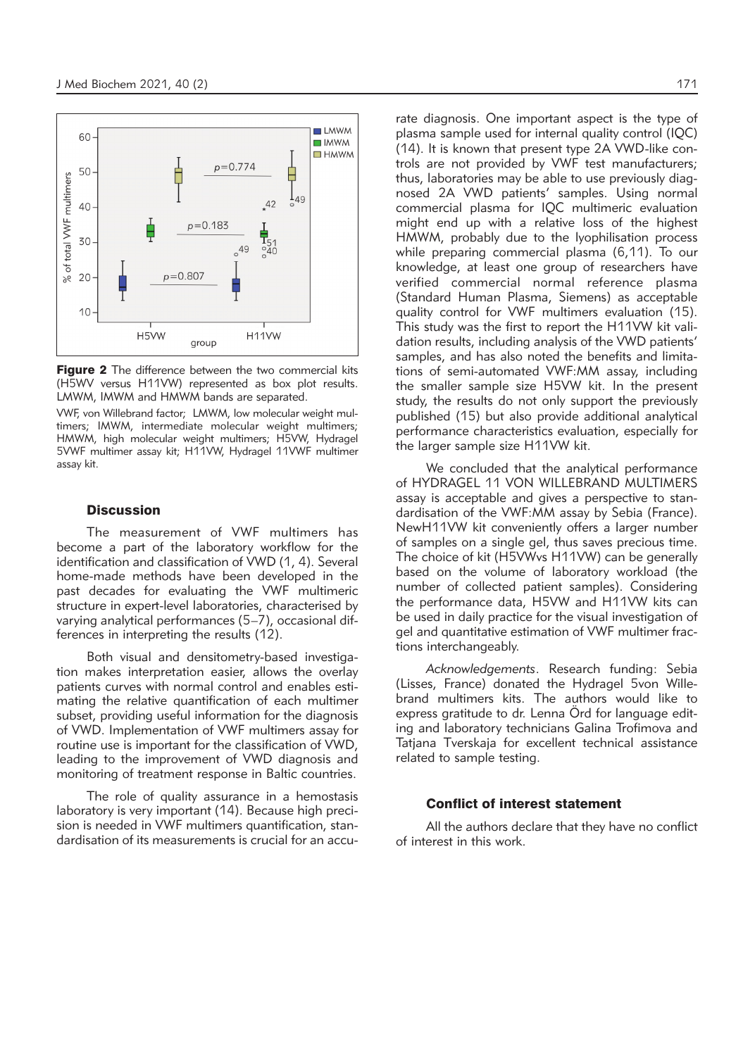

**Figure 2** The difference between the two commercial kits (H5WV versus H11VW) represented as box plot results. LMWM, IMWM and HMWM bands are separated.

VWF, von Willebrand factor; LMWM, low molecular weight multimers; IMWM, intermediate molecular weight multimers; HMWM, high molecular weight multimers; H5VW, Hydragel 5VWF multimer assay kit; H11VW, Hydragel 11VWF multimer assay kit.

#### **Discussion**

The measurement of VWF multimers has become a part of the laboratory workflow for the identification and classification of VWD (1, 4). Several home-made methods have been developed in the past decades for evaluating the VWF multimeric structure in expert-level laboratories, characterised by varying analytical performances (5–7), occasional differences in interpreting the results (12).

Both visual and densitometry-based investigation makes interpretation easier, allows the overlay patients curves with normal control and enables estimating the relative quantification of each multimer subset, providing useful information for the diagnosis of VWD. Implementation of VWF multimers assay for routine use is important for the classification of VWD, leading to the improvement of VWD diagnosis and monitoring of treatment response in Baltic countries.

The role of quality assurance in a hemostasis laboratory is very important (14). Because high precision is needed in VWF multimers quantification, standardisation of its measurements is crucial for an accu-

rate diagnosis. One important aspect is the type of plasma sample used for internal quality control (IQC) (14). It is known that present type 2A VWD-like controls are not provided by VWF test manufacturers; thus, laboratories may be able to use previously diagnosed 2A VWD patients' samples. Using normal commercial plasma for IQC multimeric evaluation might end up with a relative loss of the highest HMWM, probably due to the lyophilisation process while preparing commercial plasma (6,11). To our knowledge, at least one group of researchers have verified commercial normal reference plasma (Standard Human Plasma, Siemens) as acceptable quality control for VWF multimers evaluation (15). This study was the first to report the H11VW kit validation results, including analysis of the VWD patients' samples, and has also noted the benefits and limitations of semi-automated VWF:MM assay, including the smaller sample size H5VW kit. In the present study, the results do not only support the previously published (15) but also provide additional analytical performance characteristics evaluation, especially for the larger sample size H11VW kit.

We concluded that the analytical performance of HYDRAGEL 11 VON WILLEBRAND MULTIMERS assay is acceptable and gives a perspective to standardisation of the VWF:MM assay by Sebia (France). NewH11VW kit conveniently offers a larger number of samples on a single gel, thus saves precious time. The choice of kit (H5VWvs H11VW) can be generally based on the volume of laboratory workload (the number of collected patient samples). Considering the performance data, H5VW and H11VW kits can be used in daily practice for the visual investigation of gel and quantitative estimation of VWF multimer fractions interchangeably.

*Acknowledgements*. Research funding: Sebia (Lisses, France) donated the Hydragel 5von Willebrand multimers kits. The authors would like to express gratitude to dr. Lenna Örd for language editing and laboratory technicians Galina Trofimova and Tatjana Tverskaja for excellent technical assistance related to sample testing.

## Conflict of interest statement

All the authors declare that they have no conflict of interest in this work.